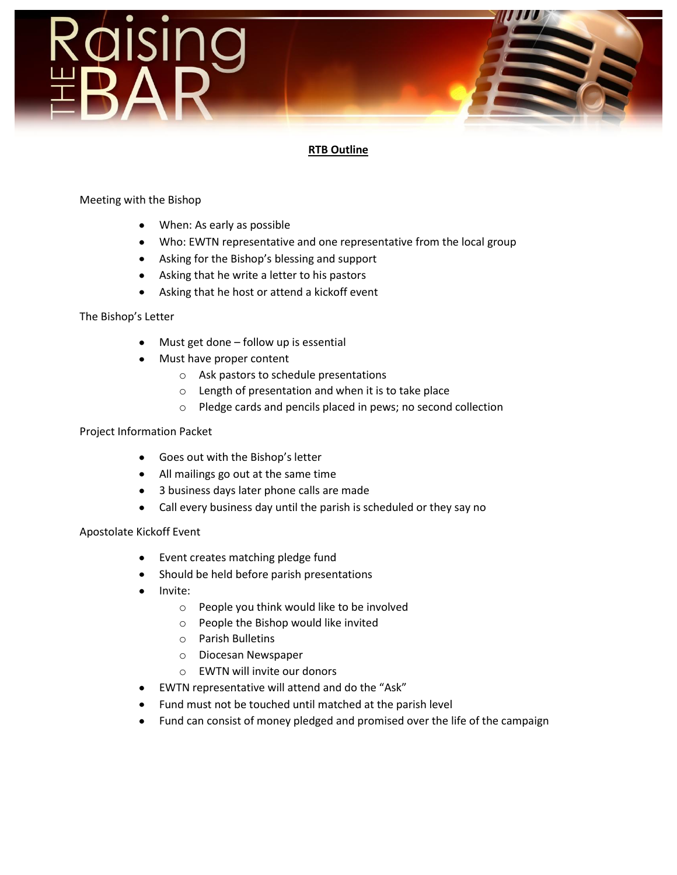

# **RTB Outline**

### Meeting with the Bishop

- When: As early as possible
- Who: EWTN representative and one representative from the local group
- Asking for the Bishop's blessing and support
- Asking that he write a letter to his pastors
- Asking that he host or attend a kickoff event

The Bishop's Letter

- Must get done follow up is essential
- Must have proper content
	- o Ask pastors to schedule presentations
	- o Length of presentation and when it is to take place
	- o Pledge cards and pencils placed in pews; no second collection

#### Project Information Packet

- Goes out with the Bishop's letter
- All mailings go out at the same time
- 3 business days later phone calls are made
- Call every business day until the parish is scheduled or they say no

#### Apostolate Kickoff Event

- Event creates matching pledge fund  $\bullet$
- Should be held before parish presentations
- Invite:
	- o People you think would like to be involved
	- o People the Bishop would like invited
	- o Parish Bulletins
	- o Diocesan Newspaper
	- o EWTN will invite our donors
- EWTN representative will attend and do the "Ask"
- Fund must not be touched until matched at the parish level
- Fund can consist of money pledged and promised over the life of the campaign